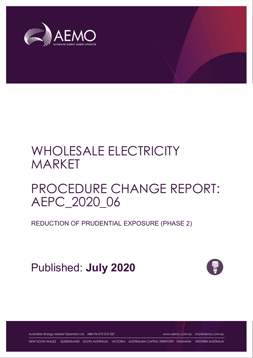

# WHOLESALE ELECTRICITY MARKET

# PROCEDURE CHANGE REPORT: AEPC\_2020\_06

REDUCTION OF PRUDENTIAL EXPOSURE (PHASE 2)

Published: July 2020



Australian Energy Market Operator Ltd ABN 94 072 010 327 www.aemo.com.au info@aemo.com.au

NEW SOUTH WALES QUEENSLAND SOUTH AUSTRALIA VICTORIA AUSTRALIAN CAPITAL TERRITORY TASMANIA WESTERN AUSTRALIA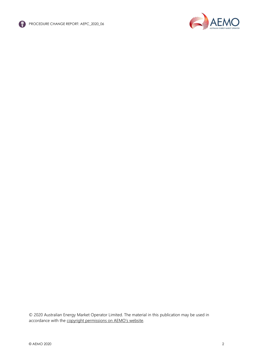



© 2020 Australian Energy Market Operator Limited. The material in this publication may be used in accordance with the copyright permissions on AEMO's website.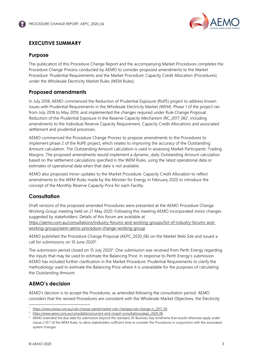

# EXECUTIVE SUMMARY

## Purpose

The publication of this Procedure Change Report and the accompanying Market Procedures completes the Procedure Change Process conducted by AEMO to consider proposed amendments to the Market Procedure: Prudential Requirements and the Market Procedure: Capacity Credit Allocation (Procedures) under the Wholesale Electricity Market Rules (WEM Rules).

# Proposed amendments

In July 2018, AEMO commenced the Reduction of Prudential Exposure (RoPE) project to address known issues with Prudential Requirements in the Wholesale Electricity Market (WEM). Phase 1 of the project ran from July 2018 to May 2019, and implemented the changes required under Rule Change Proposal: Reduction of the Prudential Exposure in the Reserve Capacity Mechanism (RC\_2017\_06)<sup>1</sup>, including amendments to the Individual Reserve Capacity Requirement, Capacity Credit Allocations and associated settlement and prudential processes.

AEMO commenced the Procedure Change Process to propose amendments to the Procedures to implement phase 2 of the RoPE project, which relates to improving the accuracy of the Outstanding Amount calculation. The Outstanding Amount calculation is used in assessing Market Participants' Trading Margins. The proposed amendments would implement a dynamic, daily Outstanding Amount calculation based on the settlement calculations specified in the WEM Rules, using the latest operational data or estimates of operational data when that data is not available.

AEMO also proposed minor updates to the Market Procedure: Capacity Credit Allocation to reflect amendments to the WEM Rules made by the Minister for Energy in February 2020 to introduce the concept of the Monthly Reserve Capacity Price for each Facility.

# **Consultation**

Draft versions of the proposed amended Procedures were presented at the AEMO Procedure Change Working Group meeting held on 21 May 2020. Following this meeting AEMO incorporated minor changes suggested by stakeholders. Details of this forum are available at:

https://aemo.com.au/consultations/industry-forums-and-working-groups/list-of-industry-forums-andworking-groups/wem-aemo-procedure-change-working-group.

AEMO published the Procedure Change Proposal (AEPC\_2020\_06) on the Market Web Site and issued a call for submissions on 10 June 2020<sup>2</sup>.

The submission period closed on 15 July 2020<sup>3</sup>. One submission was received from Perth Energy regarding the inputs that may be used to estimate the Balancing Price. In response to Perth Energy's submission AEMO has included further clarification in the Market Procedure: Prudential Requirements to clarify the methodology used to estimate the Balancing Price where it is unavailable for the purposes of calculating the Outstanding Amount.

# AEMO's decision

AEMO's decision is to accept the Procedures, as amended following the consultation period. AEMO considers that the revised Procedures are consistent with the Wholesale Market Objectives, the Electricity

<sup>1</sup> https://www.erawa.com.au/rule-change-panel/market-rule-changes/rule-change-rc\_2017\_06

<sup>2</sup> https://www.aemo.com.au/consultations/current-and-closed-consultations/aepc\_2020\_06

<sup>3</sup> AEMO extended the due date for submission beyond the standard 20-Buisness Day timeframe that would otherwise apply under clause 2.10.7 of the WEM Rules, to allow stakeholders sufficient time to consider the Procedures in conjunction with the associated system changes.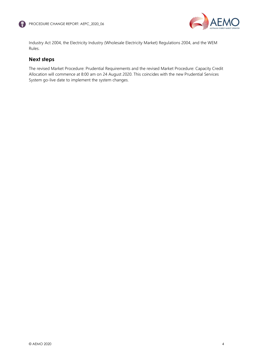



Industry Act 2004, the Electricity Industry (Wholesale Electricity Market) Regulations 2004, and the WEM Rules.

## Next steps

The revised Market Procedure: Prudential Requirements and the revised Market Procedure: Capacity Credit Allocation will commence at 8:00 am on 24 August 2020. This coincides with the new Prudential Services System go-live date to implement the system changes.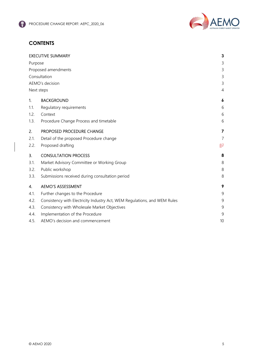

# **CONTENTS**

| <b>EXECUTIVE SUMMARY</b><br>Purpose |                                                                           | 3              |
|-------------------------------------|---------------------------------------------------------------------------|----------------|
|                                     |                                                                           | 3              |
| Proposed amendments                 |                                                                           | 3              |
| Consultation                        |                                                                           | 3              |
| AEMO's decision                     |                                                                           | 3              |
|                                     | Next steps                                                                | 4              |
| $\mathbf{1}$ .                      | <b>BACKGROUND</b>                                                         | 6              |
| 1.1.                                | Regulatory requirements                                                   | 6              |
| 1.2.                                | Context                                                                   | 6              |
| 1.3.                                | Procedure Change Process and timetable                                    | 6              |
| 2.                                  | PROPOSED PROCEDURE CHANGE                                                 | 7              |
| 2.1.                                | Detail of the proposed Procedure change                                   | $\overline{7}$ |
| 2.2.                                | Proposed drafting                                                         | 87             |
| 3.                                  | <b>CONSULTATION PROCESS</b>                                               | 8              |
| 3.1.                                | Market Advisory Committee or Working Group                                | 8              |
| 3.2.                                | Public workshop                                                           | 8              |
| 3.3.                                | Submissions received during consultation period                           | 8              |
| 4.                                  | <b>AEMO'S ASSESSMENT</b>                                                  | 9              |
| 4.1.                                | Further changes to the Procedure                                          | 9              |
| 4.2.                                | Consistency with Electricity Industry Act, WEM Regulations, and WEM Rules | 9              |
| 4.3.                                | Consistency with Wholesale Market Objectives                              | 9              |
| 4.4.                                | Implementation of the Procedure                                           | 9              |
| 4.5.                                | AEMO's decision and commencement                                          | 10             |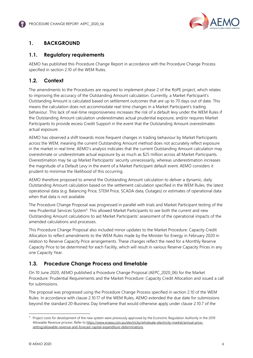

# 1. BACKGROUND

# 1.1. Regulatory requirements

AEMO has published this Procedure Change Report in accordance with the Procedure Change Process specified in section 2.10 of the WEM Rules.

# 1.2. Context

The amendments to the Procedures are required to implement phase 2 of the RoPE project, which relates to improving the accuracy of the Outstanding Amount calculation. Currently, a Market Participant's Outstanding Amount is calculated based on settlement outcomes that are up to 70 days out of date. This means the calculation does not accommodate real-time changes in a Market Participant's trading behaviour. This lack of real-time responsiveness increases the risk of a default levy under the WEM Rules if the Outstanding Amount calculation underestimates actual prudential exposure, and/or requires Market Participants to provide excess Credit Support in the event that the Outstanding Amount overestimates actual exposure.

AEMO has observed a shift towards more frequent changes in trading behaviour by Market Participants across the WEM, meaning the current Outstanding Amount method does not accurately reflect exposure in the market in real time. AEMO's analysis indicates that the current Outstanding Amount calculation may overestimate or underestimate actual exposure by as much as \$25 million across all Market Participants. Overestimation may tie up Market Participants' security unnecessarily, whereas underestimation increases the magnitude of a Default Levy in the event of a Market Participant default event. AEMO considers it prudent to minimise the likelihood of this occurring.

AEMO therefore proposed to amend the Outstanding Amount calculation to deliver a dynamic, daily Outstanding Amount calculation based on the settlement calculation specified in the WEM Rules, the latest operational data (e.g. Balancing Price, STEM Price, SCADA data, Outages) or estimates of operational data when that data is not available.

The Procedure Change Proposal was progressed in parallel with trials and Market Participant testing of the new Prudential Services System<sup>4</sup>. This allowed Market Participants to see both the current and new Outstanding Amount calculations to aid Market Participants' assessment of the operational impacts of the amended calculations and processes.

This Procedure Change Proposal also included minor updates to the Market Procedure: Capacity Credit Allocation to reflect amendments to the WEM Rules made by the Minister for Energy in February 2020 in relation to Reserve Capacity Price arrangements. These changes reflect the need for a Monthly Reserve Capacity Price to be determined for each Facility, which will result in various Reserve Capacity Prices in any one Capacity Year.

# 1.3. Procedure Change Process and timetable

On 10 June 2020, AEMO published a Procedure Change Proposal (AEPC\_2020\_06) for the Market Procedure: Prudential Requirements and the Market Procedure: Capacity Credit Allocation and issued a call for submissions.

The proposal was progressed using the Procedure Change Process specified in section 2.10 of the WEM Rules. In accordance with clause 2.10.17 of the WEM Rules, AEMO extended the due date for submissions beyond the standard 20-Business Day timeframe that would otherwise apply under clause 2.10.7 of the

<sup>4</sup> Project costs for development of the new system were previously approved by the Economic Regulation Authority in the 2019 Allowable Revenue process. Refer to https://www.erawa.com.au/electricity/wholesale-electricity-market/annual-pricesetting/allowable-revenue-and-forecast-capital-expenditure-determinations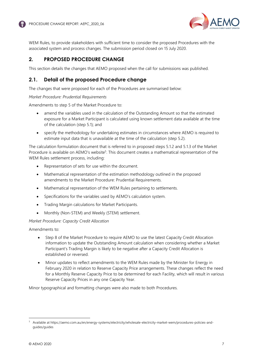

WEM Rules, to provide stakeholders with sufficient time to consider the proposed Procedures with the associated system and process changes. The submission period closed on 15 July 2020.

# 2. PROPOSED PROCEDURE CHANGE

This section details the changes that AEMO proposed when the call for submissions was published.

# 2.1. Detail of the proposed Procedure change

The changes that were proposed for each of the Procedures are summarised below:

#### Market Procedure: Prudential Requirements

Amendments to step 5 of the Market Procedure to:

- amend the variables used in the calculation of the Outstanding Amount so that the estimated exposure for a Market Participant is calculated using known settlement data available at the time of the calculation (step 5.1); and
- specify the methodology for undertaking estimates in circumstances where AEMO is required to estimate input data that is unavailable at the time of the calculation (step 5.2).

The calculation formulation document that is referred to in proposed steps 5.1.2 and 5.1.3 of the Market Procedure is available on AEMO's website<sup>5</sup>. This document creates a mathematical representation of the WEM Rules settlement process, including:

- Representation of sets for use within the document.
- Mathematical representation of the estimation methodology outlined in the proposed amendments to the Market Procedure: Prudential Requirements.
- Mathematical representation of the WEM Rules pertaining to settlements.
- Specifications for the variables used by AEMO's calculation system.
- Trading Margin calculations for Market Participants.
- Monthly (Non-STEM) and Weekly (STEM) settlement.

#### Market Procedure: Capacity Credit Allocation

Amendments to:

- Step 8 of the Market Procedure to require AEMO to use the latest Capacity Credit Allocation information to update the Outstanding Amount calculation when considering whether a Market Participant's Trading Margin is likely to be negative after a Capacity Credit Allocation is established or reversed.
- Minor updates to reflect amendments to the WEM Rules made by the Minister for Energy in February 2020 in relation to Reserve Capacity Price arrangements. These changes reflect the need for a Monthly Reserve Capacity Price to be determined for each Facility, which will result in various Reserve Capacity Prices in any one Capacity Year.

Minor typographical and formatting changes were also made to both Procedures.

<sup>5</sup> Available at https://aemo.com.au/en/energy-systems/electricity/wholesale-electricity-market-wem/procedures-policies-andguides/guides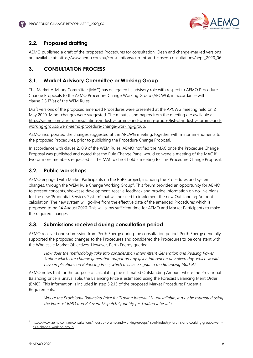

# 2.2. Proposed drafting

AEMO published a draft of the proposed Procedures for consultation. Clean and change-marked versions are available at: https://www.aemo.com.au/consultations/current-and-closed-consultations/aepc\_2020\_06.

# 3. CONSULTATION PROCESS

## 3.1. Market Advisory Committee or Working Group

The Market Advisory Committee (MAC) has delegated its advisory role with respect to AEMO Procedure Change Proposals to the AEMO Procedure Change Working Group (APCWG), in accordance with clause 2.3.17(a) of the WEM Rules.

Draft versions of the proposed amended Procedures were presented at the APCWG meeting held on 21 May 2020. Minor changes were suggested. The minutes and papers from the meeting are available at: https://aemo.com.au/en/consultations/industry-forums-and-working-groups/list-of-industry-forums-andworking-groups/wem-aemo-procedure-change-working-group.

AEMO incorporated the changes suggested at the APCWG meeting, together with minor amendments to the proposed Procedures, prior to publishing the Procedure Change Proposal.

In accordance with clause 2.10.9 of the WEM Rules, AEMO notified the MAC once the Procedure Change Proposal was published and noted that the Rule Change Panel would convene a meeting of the MAC if two or more members requested it. The MAC did not hold a meeting for this Procedure Change Proposal.

# 3.2. Public workshops

AEMO engaged with Market Participants on the RoPE project, including the Procedures and system changes, through the WEM Rule Change Working Group<sup>6</sup>. This forum provided an opportunity for AEMO to present concepts, showcase development, receive feedback and provide information on go-live plans for the new 'Prudential Services System' that will be used to implement the new Outstanding Amount calculation. The new system will go-live from the effective date of the amended Procedures which is proposed to be 24 August 2020. This will allow sufficient time for AEMO and Market Participants to make the required changes.

# 3.3. Submissions received during consultation period

AEMO received one submission from Perth Energy during the consultation period. Perth Energy generally supported the proposed changes to the Procedures and considered the Procedures to be consistent with the Wholesale Market Objectives. However, Perth Energy queried:

How does the methodology take into consideration Intermittent Generation and Peaking Power Station which can change generation output on any given interval on any given day, which would have implications on Balancing Price, which acts as a signal in the Balancing Market?

AEMO notes that for the purpose of calculating the estimated Outstanding Amount where the Provisional Balancing price is unavailable, the Balancing Price is estimated using the Forecast Balancing Merit Order (BMO). This information is included in step 5.2.15 of the proposed Market Procedure: Prudential Requirements:

Where the Provisional Balancing Price for Trading Interval i is unavailable, it may be estimated using the Forecast BMO and Relevant Dispatch Quantity for Trading Interval i.

<sup>6</sup> https://www.aemo.com.au/consultations/industry-forums-and-working-groups/list-of-industry-forums-and-working-groups/wemrule-change-working-group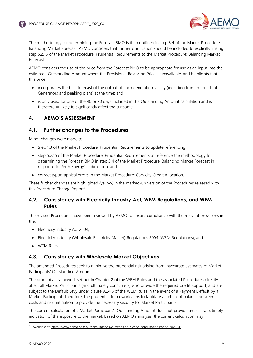

The methodology for determining the Forecast BMO is then outlined in step 3.4 of the Market Procedure: Balancing Market Forecast. AEMO considers that further clarification should be included to explicitly linking step 5.2.15 of the Market Procedure: Prudential Requirements to the Market Procedure: Balancing Market Forecast.

AEMO considers the use of the price from the Forecast BMO to be appropriate for use as an input into the estimated Outstanding Amount where the Provisional Balancing Price is unavailable, and highlights that this price:

- incorporates the best forecast of the output of each generation facility (including from Intermittent Generators and peaking plant) at the time; and
- is only used for one of the 40 or 70 days included in the Outstanding Amount calculation and is therefore unlikely to significantly affect the outcome.

## 4. AEMO'S ASSESSMENT

## 4.1. Further changes to the Procedures

Minor changes were made to:

- Step 1.3 of the Market Procedure: Prudential Requirements to update referencing.
- step 5.2.15 of the Market Procedure: Prudential Requirements to reference the methodology for determining the Forecast BMO in step 3.4 of the Market Procedure: Balancing Market Forecast in response to Perth Energy's submission; and
- correct typographical errors in the Market Procedure: Capacity Credit Allocation.

These further changes are highlighted (yellow) in the marked-up version of the Procedures released with this Procedure Change Report<sup>7</sup>.

## 4.2. Consistency with Electricity Industry Act, WEM Regulations, and WEM Rules

The revised Procedures have been reviewed by AEMO to ensure compliance with the relevant provisions in the:

- Electricity Industry Act 2004;
- Electricity Industry (Wholesale Electricity Market) Regulations 2004 (WEM Regulations); and
- **WEM Rules**

## 4.3. Consistency with Wholesale Market Objectives

The amended Procedures seek to minimise the prudential risk arising from inaccurate estimates of Market Participants' Outstanding Amounts.

The prudential framework set out in Chapter 2 of the WEM Rules and the associated Procedures directly affect all Market Participants (and ultimately consumers) who provide the required Credit Support, and are subject to the Default Levy under clause 9.24.5 of the WEM Rules in the event of a Payment Default by a Market Participant. Therefore, the prudential framework aims to facilitate an efficient balance between costs and risk mitigation to provide the necessary security for Market Participants.

The current calculation of a Market Participant's Outstanding Amount does not provide an accurate, timely indication of the exposure to the market. Based on AEMO's analysis, the current calculation may

<sup>&</sup>lt;sup>7</sup> Available at: https://www.aemo.com.au/consultations/current-and-closed-consultations/aepc 2020 06